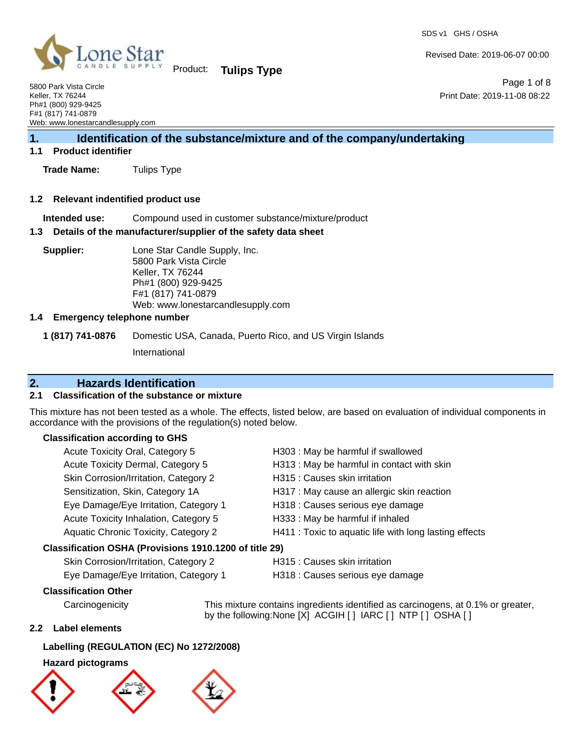SDS v1 GHS / OSHA



Product: **Tulips Type**

5800 Park Vista Circle Keller, TX 76244 Ph#1 (800) 929-9425 F#1 (817) 741-0879 Web: www.lonestarcandlesupply.com

## **1. Identification of the substance/mixture and of the company/undertaking**

## **1.1 Product identifier**

**Trade Name:** Tulips Type

#### **1.2 Relevant indentified product use**

**Intended use:** Compound used in customer substance/mixture/product

#### **1.3 Details of the manufacturer/supplier of the safety data sheet**

**Supplier:** Lone Star Candle Supply, Inc. 5800 Park Vista Circle Keller, TX 76244 Ph#1 (800) 929-9425 F#1 (817) 741-0879 Web: www.lonestarcandlesupply.com

## **1.4 Emergency telephone number**

**1 (817) 741-0876** Domestic USA, Canada, Puerto Rico, and US Virgin Islands

International

## **2. Hazards Identification**

## **2.1 Classification of the substance or mixture**

This mixture has not been tested as a whole. The effects, listed below, are based on evaluation of individual components in accordance with the provisions of the regulation(s) noted below.

## **Classification according to GHS**

| Acute Toxicity Oral, Category 5                        | H303 : May be harmful if swallowed                     |
|--------------------------------------------------------|--------------------------------------------------------|
| Acute Toxicity Dermal, Category 5                      | H313 : May be harmful in contact with skin             |
| Skin Corrosion/Irritation, Category 2                  | H315 : Causes skin irritation                          |
| Sensitization, Skin, Category 1A                       | H317 : May cause an allergic skin reaction             |
| Eye Damage/Eye Irritation, Category 1                  | H318 : Causes serious eye damage                       |
| Acute Toxicity Inhalation, Category 5                  | H333: May be harmful if inhaled                        |
| Aquatic Chronic Toxicity, Category 2                   | H411 : Toxic to aquatic life with long lasting effects |
| Classification OSHA (Provisions 1910.1200 of title 29) |                                                        |
| Skin Corrosion/Irritation, Category 2                  | H315 : Causes skin irritation                          |

Eye Damage/Eye Irritation, Category 1 H318 : Causes serious eye damage

## **Classification Other**

Carcinogenicity This mixture contains ingredients identified as carcinogens, at 0.1% or greater, by the following:None [X] ACGIH [] IARC [] NTP [] OSHA []

## **2.2 Label elements**

## **Labelling (REGULATION (EC) No 1272/2008)**

## **Hazard pictograms**



Page 1 of 8 Print Date: 2019-11-08 08:22

Revised Date: 2019-06-07 00:00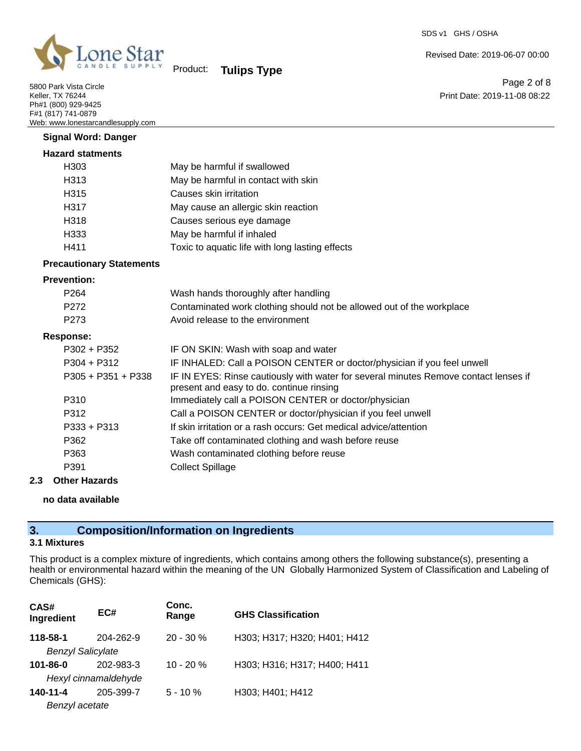

5800 Park Vista Circle Keller, TX 76244 Ph#1 (800) 929-9425 F#1 (817) 741-0879 Web: www.lonestarcandlesupply.com

# Product: **Tulips Type**

Revised Date: 2019-06-07 00:00

Page 2 of 8 Print Date: 2019-11-08 08:22

| <b>Signal Word: Danger</b>      |                                                                                                                                  |
|---------------------------------|----------------------------------------------------------------------------------------------------------------------------------|
| <b>Hazard statments</b>         |                                                                                                                                  |
| H303                            | May be harmful if swallowed                                                                                                      |
| H313                            | May be harmful in contact with skin                                                                                              |
| H315                            | Causes skin irritation                                                                                                           |
| H317                            | May cause an allergic skin reaction                                                                                              |
| H318                            | Causes serious eye damage                                                                                                        |
| H333                            | May be harmful if inhaled                                                                                                        |
| H411                            | Toxic to aquatic life with long lasting effects                                                                                  |
| <b>Precautionary Statements</b> |                                                                                                                                  |
| <b>Prevention:</b>              |                                                                                                                                  |
| P <sub>264</sub>                | Wash hands thoroughly after handling                                                                                             |
| P272                            | Contaminated work clothing should not be allowed out of the workplace                                                            |
| P273                            | Avoid release to the environment                                                                                                 |
| <b>Response:</b>                |                                                                                                                                  |
| P302 + P352                     | IF ON SKIN: Wash with soap and water                                                                                             |
| $P304 + P312$                   | IF INHALED: Call a POISON CENTER or doctor/physician if you feel unwell                                                          |
| $P305 + P351 + P338$            | IF IN EYES: Rinse cautiously with water for several minutes Remove contact lenses if<br>present and easy to do. continue rinsing |
| P310                            | Immediately call a POISON CENTER or doctor/physician                                                                             |
| P312                            | Call a POISON CENTER or doctor/physician if you feel unwell                                                                      |
| $P333 + P313$                   | If skin irritation or a rash occurs: Get medical advice/attention                                                                |
| P362                            | Take off contaminated clothing and wash before reuse                                                                             |
| P363                            | Wash contaminated clothing before reuse                                                                                          |
| P391                            | <b>Collect Spillage</b>                                                                                                          |

## **2.3 Other Hazards**

#### **no data available**

## **3. Composition/Information on Ingredients**

## **3.1 Mixtures**

This product is a complex mixture of ingredients, which contains among others the following substance(s), presenting a health or environmental hazard within the meaning of the UN Globally Harmonized System of Classification and Labeling of Chemicals (GHS):

| CAS#<br>Ingredient       | EC#                  | Conc.<br>Range | <b>GHS Classification</b>    |
|--------------------------|----------------------|----------------|------------------------------|
| 118-58-1                 | 204-262-9            | $20 - 30 \%$   | H303; H317; H320; H401; H412 |
| <b>Benzyl Salicylate</b> |                      |                |                              |
| 101-86-0                 | 202-983-3            | $10 - 20 %$    | H303; H316; H317; H400; H411 |
|                          | Hexyl cinnamaldehyde |                |                              |
| 140-11-4                 | 205-399-7            | $5 - 10 \%$    | H303; H401; H412             |
| Benzyl acetate           |                      |                |                              |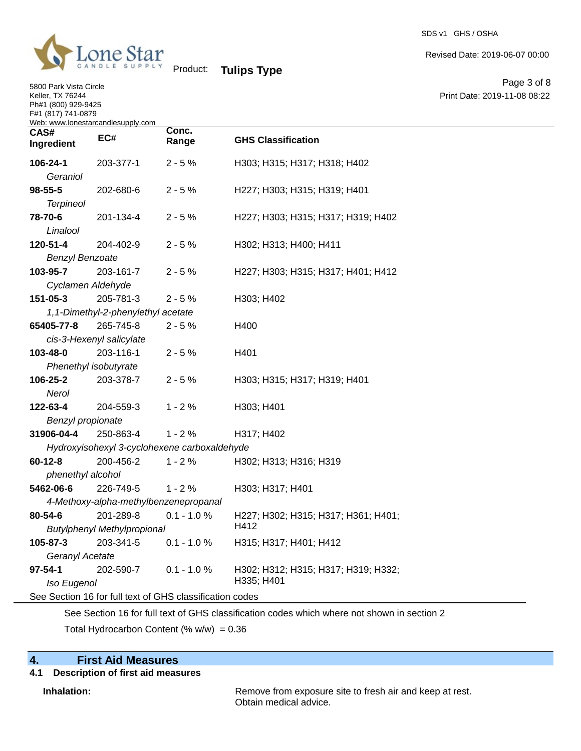

5800 Park Vista Circle Keller, TX 76244 Ph#1 (800) 929-9425 F#1 (817) 741-0879

Revised Date: 2019-06-07 00:00

Page 3 of 8 Print Date: 2019-11-08 08:22

| Product: | <b>Tulips Type</b> |  |
|----------|--------------------|--|
|          |                    |  |

| Web: www.lonestarcandlesupply.com |                                       |                                                          |                                     |
|-----------------------------------|---------------------------------------|----------------------------------------------------------|-------------------------------------|
| CAS#<br>Ingredient                | EC#                                   | Conc.<br>Range                                           | <b>GHS Classification</b>           |
| 106-24-1                          | 203-377-1                             | $2 - 5%$                                                 | H303; H315; H317; H318; H402        |
| Geraniol                          |                                       |                                                          |                                     |
| 98-55-5                           | 202-680-6                             | $2 - 5%$                                                 | H227; H303; H315; H319; H401        |
| <b>Terpineol</b>                  |                                       |                                                          |                                     |
| 78-70-6                           | 201-134-4                             | $2 - 5%$                                                 | H227; H303; H315; H317; H319; H402  |
| Linalool                          |                                       |                                                          |                                     |
| 120-51-4                          | 204-402-9                             | $2 - 5%$                                                 | H302; H313; H400; H411              |
| <b>Benzyl Benzoate</b>            |                                       |                                                          |                                     |
| 103-95-7                          | 203-161-7                             | $2 - 5%$                                                 | H227; H303; H315; H317; H401; H412  |
| Cyclamen Aldehyde                 |                                       |                                                          |                                     |
| 151-05-3                          | 205-781-3                             | $2 - 5%$                                                 | H303; H402                          |
|                                   | 1,1-Dimethyl-2-phenylethyl acetate    |                                                          |                                     |
| 65405-77-8                        | 265-745-8                             | $2 - 5%$                                                 | H400                                |
|                                   | cis-3-Hexenyl salicylate              |                                                          |                                     |
| 103-48-0                          | 203-116-1                             | $2 - 5%$                                                 | H401                                |
| Phenethyl isobutyrate             |                                       |                                                          |                                     |
| 106-25-2                          | 203-378-7                             | $2 - 5%$                                                 | H303; H315; H317; H319; H401        |
| Nerol                             |                                       |                                                          |                                     |
| 122-63-4                          | 204-559-3                             | $1 - 2%$                                                 | H303; H401                          |
| Benzyl propionate                 |                                       |                                                          |                                     |
| 31906-04-4                        | 250-863-4                             | $1 - 2%$                                                 | H317; H402                          |
|                                   |                                       | Hydroxyisohexyl 3-cyclohexene carboxaldehyde             |                                     |
| $60 - 12 - 8$                     | 200-456-2                             | $1 - 2%$                                                 | H302; H313; H316; H319              |
| phenethyl alcohol                 |                                       |                                                          |                                     |
| 5462-06-6                         | 226-749-5                             | $1 - 2%$                                                 | H303; H317; H401                    |
|                                   | 4-Methoxy-alpha-methylbenzenepropanal |                                                          |                                     |
| 80-54-6                           | 201-289-8                             | $0.1 - 1.0 %$                                            | H227; H302; H315; H317; H361; H401; |
|                                   | <b>Butylphenyl Methylpropional</b>    |                                                          | H412                                |
| 105-87-3                          | 203-341-5                             | $0.1 - 1.0 %$                                            | H315; H317; H401; H412              |
| Geranyl Acetate                   |                                       |                                                          |                                     |
| $97 - 54 - 1$                     | 202-590-7                             | $0.1 - 1.0 \%$                                           | H302; H312; H315; H317; H319; H332; |
| Iso Eugenol                       |                                       |                                                          | H335; H401                          |
|                                   |                                       | See Section 16 for full text of GHS classification codes |                                     |
|                                   |                                       |                                                          |                                     |

See Section 16 for full text of GHS classification codes which where not shown in section 2

Total Hydrocarbon Content (%  $w/w$ ) = 0.36

# **4. First Aid Measures**

# **4.1 Description of first aid measures**

**Inhalation:** Remove from exposure site to fresh air and keep at rest. Obtain medical advice.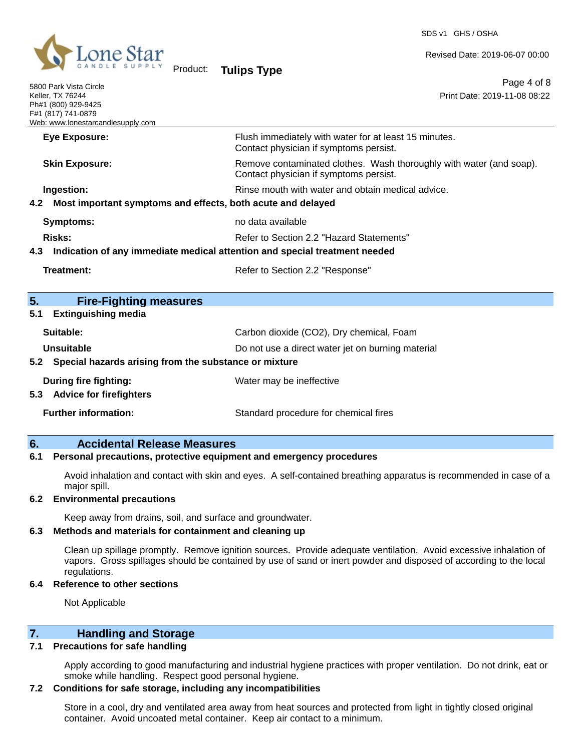

5800 Park Vista Circle

Product: **Tulips Type**

Revised Date: 2019-06-07 00:00

Page 4 of 8 Print Date: 2019-11-08 08:22

| Keller, TX 76244<br>F#1 (817) 741-0879 | Ph#1 (800) 929-9425<br>Web: www.lonestarcandlesupply.com               | Print Date: 2019-11-08 08:22                                                                                           |
|----------------------------------------|------------------------------------------------------------------------|------------------------------------------------------------------------------------------------------------------------|
|                                        | <b>Eye Exposure:</b>                                                   | Flush immediately with water for at least 15 minutes.<br>Contact physician if symptoms persist.                        |
|                                        | <b>Skin Exposure:</b>                                                  | Remove contaminated clothes. Wash thoroughly with water (and soap).<br>Contact physician if symptoms persist.          |
| 4.2                                    | Ingestion:                                                             | Rinse mouth with water and obtain medical advice.<br>Most important symptoms and effects, both acute and delayed       |
|                                        | <b>Symptoms:</b>                                                       | no data available                                                                                                      |
| Risks:<br>4.3                          |                                                                        | Refer to Section 2.2 "Hazard Statements"<br>Indication of any immediate medical attention and special treatment needed |
|                                        | Treatment:                                                             | Refer to Section 2.2 "Response"                                                                                        |
| 5.                                     | <b>Fire-Fighting measures</b>                                          |                                                                                                                        |
| 5.1                                    | <b>Extinguishing media</b>                                             |                                                                                                                        |
| Suitable:                              |                                                                        | Carbon dioxide (CO2), Dry chemical, Foam                                                                               |
|                                        | <b>Unsuitable</b><br>Do not use a direct water jet on burning material |                                                                                                                        |
| 5.2                                    | Special hazards arising from the substance or mixture                  |                                                                                                                        |
|                                        | <b>During fire fighting:</b><br>5.3 Advice for firefighters            | Water may be ineffective                                                                                               |
|                                        | <b>Further information:</b>                                            | Standard procedure for chemical fires                                                                                  |

## **6. Accidental Release Measures**

#### **6.1 Personal precautions, protective equipment and emergency procedures**

Avoid inhalation and contact with skin and eyes. A self-contained breathing apparatus is recommended in case of a major spill.

#### **6.2 Environmental precautions**

Keep away from drains, soil, and surface and groundwater.

#### **6.3 Methods and materials for containment and cleaning up**

Clean up spillage promptly. Remove ignition sources. Provide adequate ventilation. Avoid excessive inhalation of vapors. Gross spillages should be contained by use of sand or inert powder and disposed of according to the local regulations.

#### **6.4 Reference to other sections**

Not Applicable

## **7. Handling and Storage**

#### **7.1 Precautions for safe handling**

Apply according to good manufacturing and industrial hygiene practices with proper ventilation. Do not drink, eat or smoke while handling. Respect good personal hygiene.

#### **7.2 Conditions for safe storage, including any incompatibilities**

Store in a cool, dry and ventilated area away from heat sources and protected from light in tightly closed original container. Avoid uncoated metal container. Keep air contact to a minimum.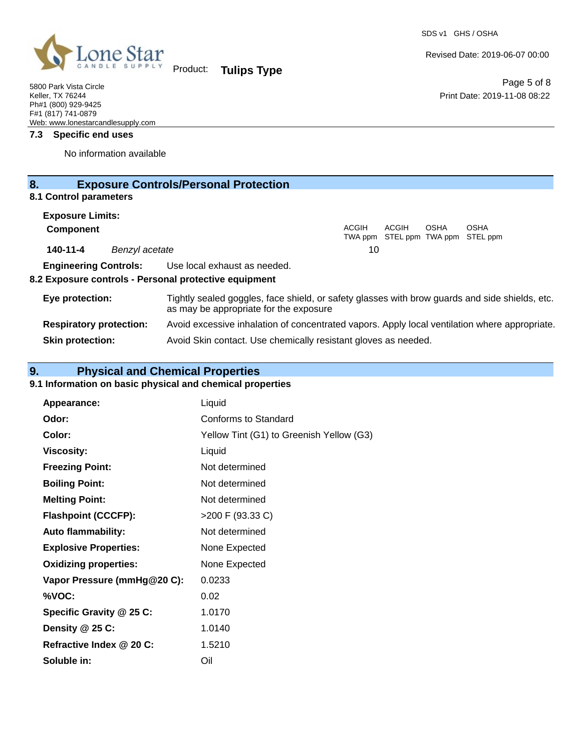SDS v1 GHS / OSHA

Page 5 of 8

Print Date: 2019-11-08 08:22

Revised Date: 2019-06-07 00:00



Product: **Tulips Type**

#### **7.3 Specific end uses**

No information available

| 8.                                                    | <b>Exposure Controls/Personal Protection</b>                                                                                             |  |  |
|-------------------------------------------------------|------------------------------------------------------------------------------------------------------------------------------------------|--|--|
| 8.1 Control parameters                                |                                                                                                                                          |  |  |
| <b>Exposure Limits:</b>                               |                                                                                                                                          |  |  |
| <b>Component</b>                                      | ACGIH<br><b>OSHA</b><br>ACGIH<br><b>OSHA</b><br>TWA ppm STEL ppm TWA ppm STEL ppm                                                        |  |  |
| 140-11-4<br>Benzyl acetate                            | 10                                                                                                                                       |  |  |
| <b>Engineering Controls:</b>                          | Use local exhaust as needed.                                                                                                             |  |  |
| 8.2 Exposure controls - Personal protective equipment |                                                                                                                                          |  |  |
| Eye protection:                                       | Tightly sealed goggles, face shield, or safety glasses with brow guards and side shields, etc.<br>as may be appropriate for the exposure |  |  |
| <b>Respiratory protection:</b>                        | Avoid excessive inhalation of concentrated vapors. Apply local ventilation where appropriate.                                            |  |  |
| <b>Skin protection:</b>                               | Avoid Skin contact. Use chemically resistant gloves as needed.                                                                           |  |  |

# **9. Physical and Chemical Properties**

# **9.1 Information on basic physical and chemical properties**

| Appearance:                  | Liquid                                   |
|------------------------------|------------------------------------------|
| Odor:                        | Conforms to Standard                     |
| Color:                       | Yellow Tint (G1) to Greenish Yellow (G3) |
| <b>Viscosity:</b>            | Liquid                                   |
| <b>Freezing Point:</b>       | Not determined                           |
| <b>Boiling Point:</b>        | Not determined                           |
| <b>Melting Point:</b>        | Not determined                           |
| <b>Flashpoint (CCCFP):</b>   | >200 F (93.33 C)                         |
| <b>Auto flammability:</b>    | Not determined                           |
| <b>Explosive Properties:</b> | None Expected                            |
| <b>Oxidizing properties:</b> | None Expected                            |
| Vapor Pressure (mmHg@20 C):  | 0.0233                                   |
| %VOC:                        | 0.02                                     |
| Specific Gravity @ 25 C:     | 1.0170                                   |
| Density @ 25 C:              | 1.0140                                   |
| Refractive Index @ 20 C:     | 1.5210                                   |
| Soluble in:                  | Oil                                      |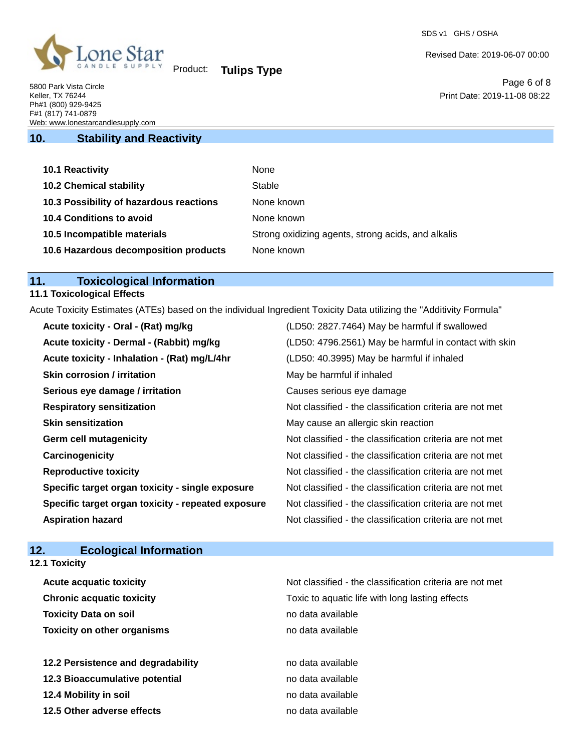

Product: **Tulips Type**

## **10. Stability and Reactivity**

| 10.1 Reactivity                         | None                                               |
|-----------------------------------------|----------------------------------------------------|
| <b>10.2 Chemical stability</b>          | Stable                                             |
| 10.3 Possibility of hazardous reactions | None known                                         |
| <b>10.4 Conditions to avoid</b>         | None known                                         |
| 10.5 Incompatible materials             | Strong oxidizing agents, strong acids, and alkalis |
| 10.6 Hazardous decomposition products   | None known                                         |

## **11. Toxicological Information**

## **11.1 Toxicological Effects**

Acute Toxicity Estimates (ATEs) based on the individual Ingredient Toxicity Data utilizing the "Additivity Formula"

| Acute toxicity - Oral - (Rat) mg/kg                | (LD50: 2827.7464) May be harmful if swallowed            |
|----------------------------------------------------|----------------------------------------------------------|
| Acute toxicity - Dermal - (Rabbit) mg/kg           | (LD50: 4796.2561) May be harmful in contact with skin    |
| Acute toxicity - Inhalation - (Rat) mg/L/4hr       | (LD50: 40.3995) May be harmful if inhaled                |
| <b>Skin corrosion / irritation</b>                 | May be harmful if inhaled                                |
| Serious eye damage / irritation                    | Causes serious eye damage                                |
| <b>Respiratory sensitization</b>                   | Not classified - the classification criteria are not met |
| <b>Skin sensitization</b>                          | May cause an allergic skin reaction                      |
| <b>Germ cell mutagenicity</b>                      | Not classified - the classification criteria are not met |
| Carcinogenicity                                    | Not classified - the classification criteria are not met |
| <b>Reproductive toxicity</b>                       | Not classified - the classification criteria are not met |
| Specific target organ toxicity - single exposure   | Not classified - the classification criteria are not met |
| Specific target organ toxicity - repeated exposure | Not classified - the classification criteria are not met |
| <b>Aspiration hazard</b>                           | Not classified - the classification criteria are not met |

# **12. Ecological Information**

**12.1 Toxicity**

| Not classified - the classification criteria are not met |
|----------------------------------------------------------|
| Toxic to aquatic life with long lasting effects          |
| no data available                                        |
| no data available                                        |
|                                                          |
| no data available                                        |
| no data available                                        |
| no data available                                        |
| no data available                                        |
|                                                          |

SDS v1 GHS / OSHA

Revised Date: 2019-06-07 00:00

Page 6 of 8 Print Date: 2019-11-08 08:22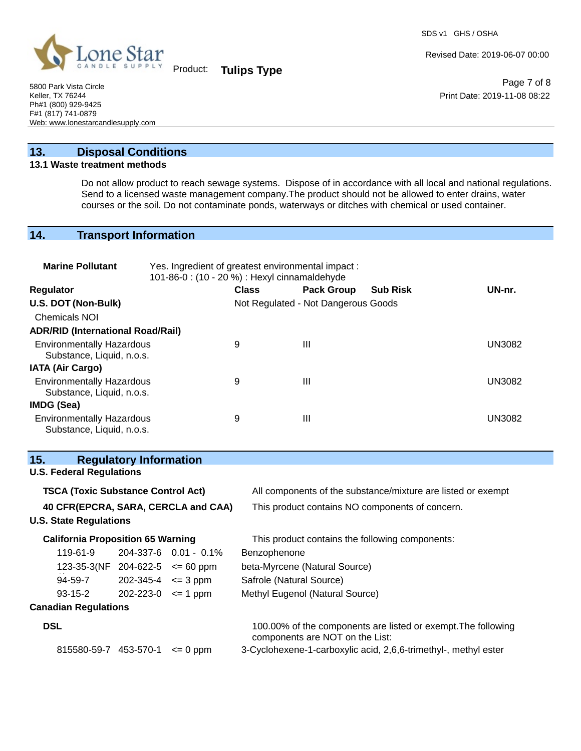

Product: **Tulips Type**

Revised Date: 2019-06-07 00:00

Page 7 of 8 Print Date: 2019-11-08 08:22

5800 Park Vista Circle Keller, TX 76244 Ph#1 (800) 929-9425 F#1 (817) 741-0879 Web: www.lonestarcandlesupply.com

# **13. Disposal Conditions**

#### **13.1 Waste treatment methods**

Do not allow product to reach sewage systems. Dispose of in accordance with all local and national regulations. Send to a licensed waste management company.The product should not be allowed to enter drains, water courses or the soil. Do not contaminate ponds, waterways or ditches with chemical or used container.

## **14. Transport Information**

| <b>Marine Pollutant</b>                                       | Yes. Ingredient of greatest environmental impact:<br>101-86-0: (10 - 20 %) : Hexyl cinnamaldehyde |                                     |                   |                 |        |
|---------------------------------------------------------------|---------------------------------------------------------------------------------------------------|-------------------------------------|-------------------|-----------------|--------|
| <b>Regulator</b>                                              |                                                                                                   | <b>Class</b>                        | <b>Pack Group</b> | <b>Sub Risk</b> | UN-nr. |
| U.S. DOT (Non-Bulk)                                           |                                                                                                   | Not Regulated - Not Dangerous Goods |                   |                 |        |
| <b>Chemicals NOI</b>                                          |                                                                                                   |                                     |                   |                 |        |
| <b>ADR/RID (International Road/Rail)</b>                      |                                                                                                   |                                     |                   |                 |        |
| <b>Environmentally Hazardous</b><br>Substance, Liquid, n.o.s. |                                                                                                   | 9                                   | Ш                 |                 | UN3082 |
| <b>IATA (Air Cargo)</b>                                       |                                                                                                   |                                     |                   |                 |        |
| <b>Environmentally Hazardous</b><br>Substance, Liquid, n.o.s. |                                                                                                   | 9                                   | Ш                 |                 | UN3082 |
| <b>IMDG (Sea)</b>                                             |                                                                                                   |                                     |                   |                 |        |
| <b>Environmentally Hazardous</b><br>Substance, Liquid, n.o.s. |                                                                                                   | 9                                   | Ш                 |                 | UN3082 |

| 15.<br><b>Regulatory Information</b>      |                                     |                       |                                                                                                  |
|-------------------------------------------|-------------------------------------|-----------------------|--------------------------------------------------------------------------------------------------|
| <b>U.S. Federal Regulations</b>           |                                     |                       |                                                                                                  |
| <b>TSCA (Toxic Substance Control Act)</b> |                                     |                       | All components of the substance/mixture are listed or exempt                                     |
| 40 CFR(EPCRA, SARA, CERCLA and CAA)       |                                     |                       | This product contains NO components of concern.                                                  |
| <b>U.S. State Regulations</b>             |                                     |                       |                                                                                                  |
| <b>California Proposition 65 Warning</b>  |                                     |                       | This product contains the following components:                                                  |
| 119-61-9                                  |                                     | 204-337-6 0.01 - 0.1% | Benzophenone                                                                                     |
|                                           | 123-35-3(NF 204-622-5 $\leq$ 60 ppm |                       | beta-Myrcene (Natural Source)                                                                    |
| 94-59-7                                   | $202 - 345 - 4 \leq 3 \text{ ppm}$  |                       | Safrole (Natural Source)                                                                         |
| 93-15-2                                   | $202 - 223 - 0 \leq 1$ ppm          |                       | Methyl Eugenol (Natural Source)                                                                  |
| <b>Canadian Regulations</b>               |                                     |                       |                                                                                                  |
| <b>DSL</b>                                |                                     |                       | 100.00% of the components are listed or exempt. The following<br>components are NOT on the List: |
| 815580-59-7 453-570-1                     |                                     | $\leq$ 0 ppm          | 3-Cyclohexene-1-carboxylic acid, 2,6,6-trimethyl-, methyl ester                                  |